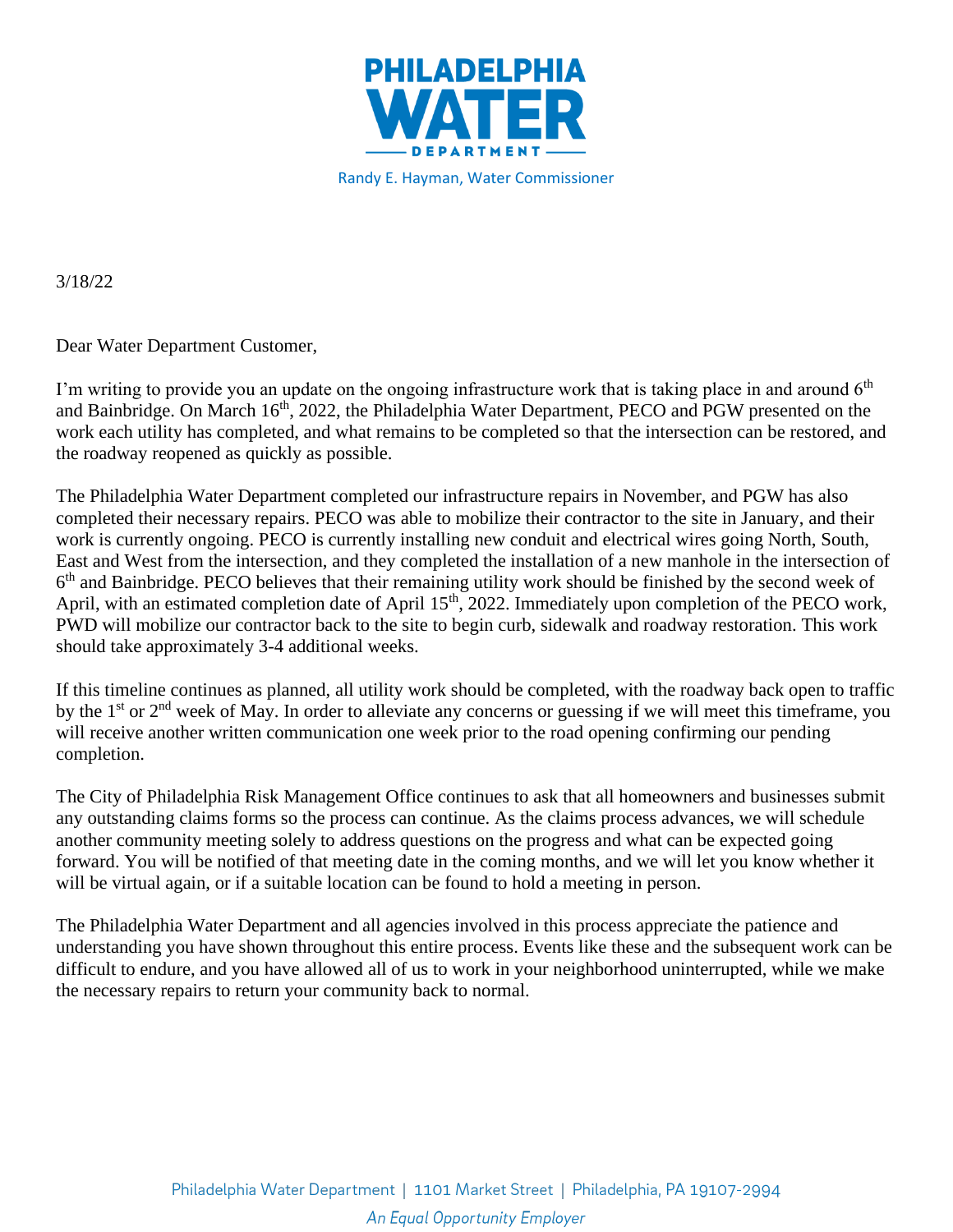

Randy E. Hayman, Water Commissioner

3/18/22

Dear Water Department Customer,

I'm writing to provide you an update on the ongoing infrastructure work that is taking place in and around  $6<sup>th</sup>$ and Bainbridge. On March 16<sup>th</sup>, 2022, the Philadelphia Water Department, PECO and PGW presented on the work each utility has completed, and what remains to be completed so that the intersection can be restored, and the roadway reopened as quickly as possible.

The Philadelphia Water Department completed our infrastructure repairs in November, and PGW has also completed their necessary repairs. PECO was able to mobilize their contractor to the site in January, and their work is currently ongoing. PECO is currently installing new conduit and electrical wires going North, South, East and West from the intersection, and they completed the installation of a new manhole in the intersection of 6<sup>th</sup> and Bainbridge. PECO believes that their remaining utility work should be finished by the second week of April, with an estimated completion date of April 15<sup>th</sup>, 2022. Immediately upon completion of the PECO work, PWD will mobilize our contractor back to the site to begin curb, sidewalk and roadway restoration. This work should take approximately 3-4 additional weeks.

If this timeline continues as planned, all utility work should be completed, with the roadway back open to traffic by the 1<sup>st</sup> or 2<sup>nd</sup> week of May. In order to alleviate any concerns or guessing if we will meet this timeframe, you will receive another written communication one week prior to the road opening confirming our pending completion.

The City of Philadelphia Risk Management Office continues to ask that all homeowners and businesses submit any outstanding claims forms so the process can continue. As the claims process advances, we will schedule another community meeting solely to address questions on the progress and what can be expected going forward. You will be notified of that meeting date in the coming months, and we will let you know whether it will be virtual again, or if a suitable location can be found to hold a meeting in person.

The Philadelphia Water Department and all agencies involved in this process appreciate the patience and understanding you have shown throughout this entire process. Events like these and the subsequent work can be difficult to endure, and you have allowed all of us to work in your neighborhood uninterrupted, while we make the necessary repairs to return your community back to normal.